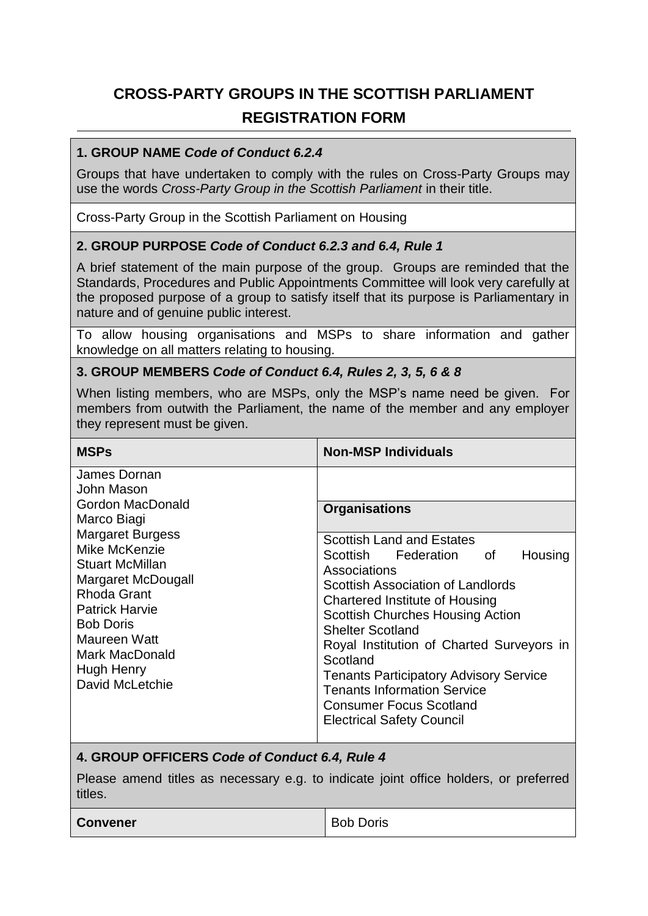# **CROSS-PARTY GROUPS IN THE SCOTTISH PARLIAMENT REGISTRATION FORM**

#### **1. GROUP NAME** *Code of Conduct 6.2.4*

Groups that have undertaken to comply with the rules on Cross-Party Groups may use the words *Cross-Party Group in the Scottish Parliament* in their title.

Cross-Party Group in the Scottish Parliament on Housing

#### **2. GROUP PURPOSE** *Code of Conduct 6.2.3 and 6.4, Rule 1*

A brief statement of the main purpose of the group. Groups are reminded that the Standards, Procedures and Public Appointments Committee will look very carefully at the proposed purpose of a group to satisfy itself that its purpose is Parliamentary in nature and of genuine public interest.

To allow housing organisations and MSPs to share information and gather knowledge on all matters relating to housing.

#### **3. GROUP MEMBERS** *Code of Conduct 6.4, Rules 2, 3, 5, 6 & 8*

When listing members, who are MSPs, only the MSP's name need be given. For members from outwith the Parliament, the name of the member and any employer they represent must be given.

| <b>MSPs</b>                                                                                                                                                                                                                                                                              | <b>Non-MSP Individuals</b>                                                                                                                                                                                                                                                                                                                                                                                                                                                                 |
|------------------------------------------------------------------------------------------------------------------------------------------------------------------------------------------------------------------------------------------------------------------------------------------|--------------------------------------------------------------------------------------------------------------------------------------------------------------------------------------------------------------------------------------------------------------------------------------------------------------------------------------------------------------------------------------------------------------------------------------------------------------------------------------------|
| James Dornan<br>John Mason<br>Gordon MacDonald<br>Marco Biagi<br><b>Margaret Burgess</b><br>Mike McKenzie<br><b>Stuart McMillan</b><br>Margaret McDougall<br>Rhoda Grant<br><b>Patrick Harvie</b><br><b>Bob Doris</b><br>Maureen Watt<br>Mark MacDonald<br>Hugh Henry<br>David McLetchie | <b>Organisations</b><br><b>Scottish Land and Estates</b><br>Scottish Federation<br>Housing<br>οf<br>Associations<br>Scottish Association of Landlords<br><b>Chartered Institute of Housing</b><br><b>Scottish Churches Housing Action</b><br><b>Shelter Scotland</b><br>Royal Institution of Charted Surveyors in<br>Scotland<br><b>Tenants Participatory Advisory Service</b><br><b>Tenants Information Service</b><br><b>Consumer Focus Scotland</b><br><b>Electrical Safety Council</b> |

## **4. GROUP OFFICERS** *Code of Conduct 6.4, Rule 4*

Please amend titles as necessary e.g. to indicate joint office holders, or preferred titles.

| <b>Convener</b> | <b>Bob Doris</b> |
|-----------------|------------------|
|                 |                  |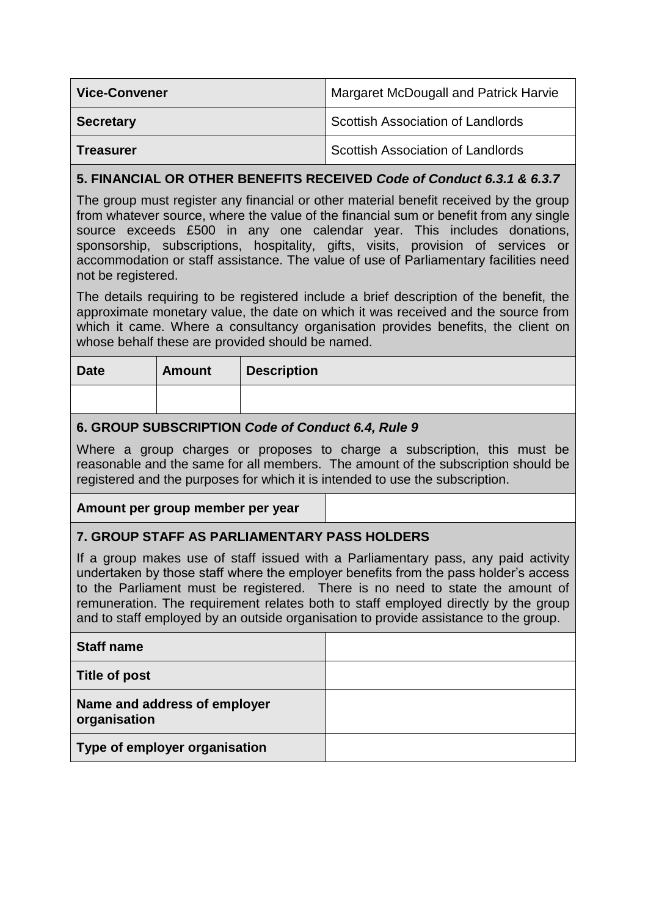| <b>Vice-Convener</b> | <b>Margaret McDougall and Patrick Harvie</b> |
|----------------------|----------------------------------------------|
| <b>Secretary</b>     | Scottish Association of Landlords            |
| <b>Treasurer</b>     | Scottish Association of Landlords            |

## **5. FINANCIAL OR OTHER BENEFITS RECEIVED** *Code of Conduct 6.3.1 & 6.3.7*

The group must register any financial or other material benefit received by the group from whatever source, where the value of the financial sum or benefit from any single source exceeds £500 in any one calendar year. This includes donations, sponsorship, subscriptions, hospitality, gifts, visits, provision of services or accommodation or staff assistance. The value of use of Parliamentary facilities need not be registered.

The details requiring to be registered include a brief description of the benefit, the approximate monetary value, the date on which it was received and the source from which it came. Where a consultancy organisation provides benefits, the client on whose behalf these are provided should be named.

| <b>Date</b> | <b>Amount</b> | <b>Description</b> |
|-------------|---------------|--------------------|
|             |               |                    |

## **6. GROUP SUBSCRIPTION** *Code of Conduct 6.4, Rule 9*

Where a group charges or proposes to charge a subscription, this must be reasonable and the same for all members. The amount of the subscription should be registered and the purposes for which it is intended to use the subscription.

## **Amount per group member per year**

## **7. GROUP STAFF AS PARLIAMENTARY PASS HOLDERS**

If a group makes use of staff issued with a Parliamentary pass, any paid activity undertaken by those staff where the employer benefits from the pass holder's access to the Parliament must be registered. There is no need to state the amount of remuneration. The requirement relates both to staff employed directly by the group and to staff employed by an outside organisation to provide assistance to the group.

| <b>Staff name</b>                            |  |
|----------------------------------------------|--|
| Title of post                                |  |
| Name and address of employer<br>organisation |  |
| Type of employer organisation                |  |